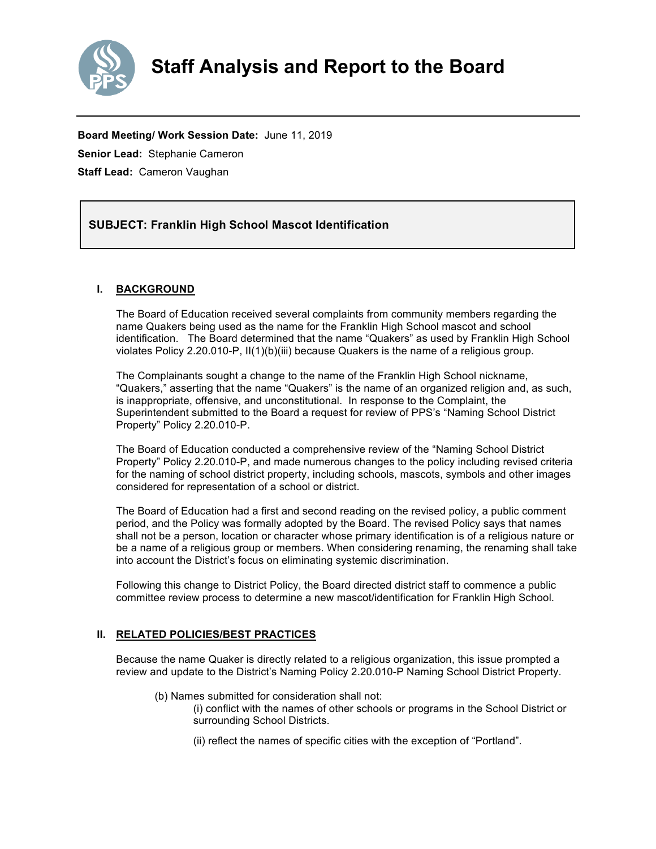

**Board Meeting/ Work Session Date:** June 11, 2019 **Senior Lead:** Stephanie Cameron **Staff Lead:** Cameron Vaughan

#### *(Use this section to briefly explain the item—2-3 sentences)* **SUBJECT: Franklin High School Mascot Identification**

# **I. BACKGROUND**

The Board of Education received several complaints from community members regarding the name Quakers being used as the name for the Franklin High School mascot and school identification. The Board determined that the name "Quakers" as used by Franklin High School violates Policy 2.20.010-P, II(1)(b)(iii) because Quakers is the name of a religious group.

The Complainants sought a change to the name of the Franklin High School nickname, "Quakers," asserting that the name "Quakers" is the name of an organized religion and, as such, is inappropriate, offensive, and unconstitutional. In response to the Complaint, the Superintendent submitted to the Board a request for review of PPS's "Naming School District Property" Policy 2.20.010-P.

The Board of Education conducted a comprehensive review of the "Naming School District Property" Policy 2.20.010-P, and made numerous changes to the policy including revised criteria for the naming of school district property, including schools, mascots, symbols and other images considered for representation of a school or district.

The Board of Education had a first and second reading on the revised policy, a public comment period, and the Policy was formally adopted by the Board. The revised Policy says that names shall not be a person, location or character whose primary identification is of a religious nature or be a name of a religious group or members. When considering renaming, the renaming shall take into account the District's focus on eliminating systemic discrimination.

Following this change to District Policy, the Board directed district staff to commence a public committee review process to determine a new mascot/identification for Franklin High School.

## **II. RELATED POLICIES/BEST PRACTICES**

Because the name Quaker is directly related to a religious organization, this issue prompted a review and update to the District's Naming Policy 2.20.010-P Naming School District Property.

- (b) Names submitted for consideration shall not:
	- (i) conflict with the names of other schools or programs in the School District or surrounding School Districts.
	- (ii) reflect the names of specific cities with the exception of "Portland".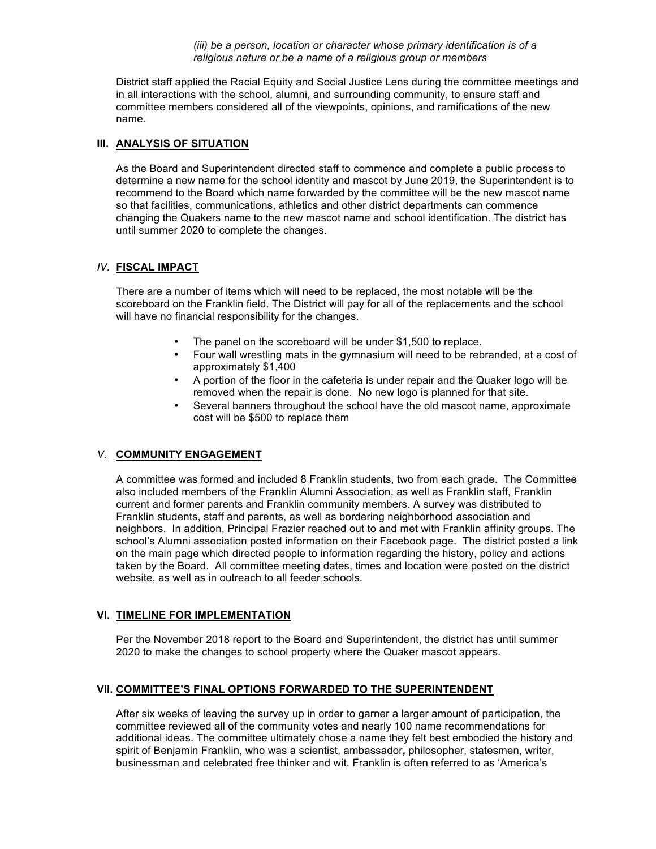*(iii) be a person, location or character whose primary identification is of a religious nature or be a name of a religious group or members* 

District staff applied the Racial Equity and Social Justice Lens during the committee meetings and in all interactions with the school, alumni, and surrounding community, to ensure staff and committee members considered all of the viewpoints, opinions, and ramifications of the new name.

#### **III. ANALYSIS OF SITUATION**

As the Board and Superintendent directed staff to commence and complete a public process to determine a new name for the school identity and mascot by June 2019, the Superintendent is to recommend to the Board which name forwarded by the committee will be the new mascot name so that facilities, communications, athletics and other district departments can commence changing the Quakers name to the new mascot name and school identification. The district has until summer 2020 to complete the changes.

### *IV.* **FISCAL IMPACT**

There are a number of items which will need to be replaced, the most notable will be the scoreboard on the Franklin field. The District will pay for all of the replacements and the school will have no financial responsibility for the changes.

- The panel on the scoreboard will be under \$1,500 to replace.
- Four wall wrestling mats in the gymnasium will need to be rebranded, at a cost of approximately \$1,400
- A portion of the floor in the cafeteria is under repair and the Quaker logo will be removed when the repair is done. No new logo is planned for that site.
- Several banners throughout the school have the old mascot name, approximate cost will be \$500 to replace them

## *V.* **COMMUNITY ENGAGEMENT**

A committee was formed and included 8 Franklin students, two from each grade. The Committee also included members of the Franklin Alumni Association, as well as Franklin staff, Franklin current and former parents and Franklin community members. A survey was distributed to Franklin students, staff and parents, as well as bordering neighborhood association and neighbors. In addition, Principal Frazier reached out to and met with Franklin affinity groups. The school's Alumni association posted information on their Facebook page. The district posted a link on the main page which directed people to information regarding the history, policy and actions taken by the Board. All committee meeting dates, times and location were posted on the district website, as well as in outreach to all feeder schools*.* 

## **VI. TIMELINE FOR IMPLEMENTATION**

Per the November 2018 report to the Board and Superintendent, the district has until summer 2020 to make the changes to school property where the Quaker mascot appears.

# **VII. COMMITTEE'S FINAL OPTIONS FORWARDED TO THE SUPERINTENDENT**

After six weeks of leaving the survey up in order to garner a larger amount of participation, the committee reviewed all of the community votes and nearly 100 name recommendations for additional ideas. The committee ultimately chose a name they felt best embodied the history and spirit of Benjamin Franklin, who was a scientist, ambassador**,** philosopher, statesmen, writer, businessman and celebrated free thinker and wit. Franklin is often referred to as 'America's